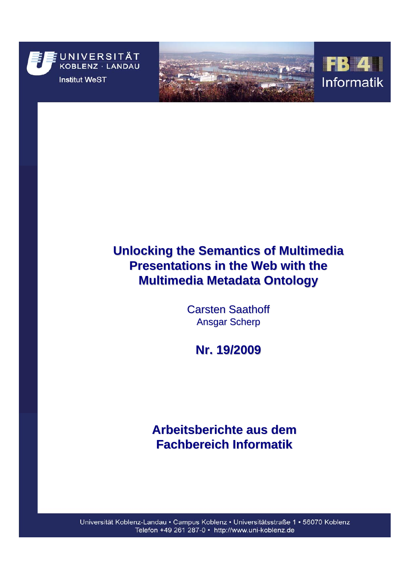





# **Unlocking the Semantics of Multimedia Presentations in the Web with the Multimedia Metadata Ontology Multimedia Metadata Ontology**

**Carsten Saathoff Ansgar Scherp** 

**Nr. 19/2009 Nr. 19/2009**

# **Arbeitsberichte aus dem Fachbereich Informatik Fachbereich Informatik**

Universität Koblenz-Landau · Campus Koblenz · Universitätsstraße 1 · 56070 Koblenz Telefon +49 261 287-0 · http://www.uni-koblenz.de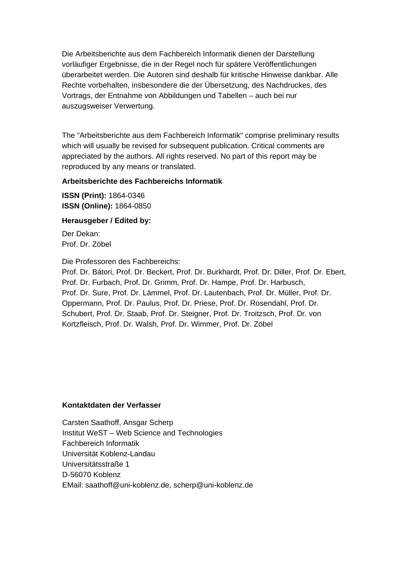Die Arbeitsberichte aus dem Fachbereich Informatik dienen der Darstellung vorläufiger Ergebnisse, die in der Regel noch für spätere Veröffentlichungen überarbeitet werden. Die Autoren sind deshalb für kritische Hinweise dankbar. Alle Rechte vorbehalten, insbesondere die der Übersetzung, des Nachdruckes, des Vortrags, der Entnahme von Abbildungen und Tabellen – auch bei nur auszugsweiser Verwertung.

The "Arbeitsberichte aus dem Fachbereich Informatik" comprise preliminary results which will usually be revised for subsequent publication. Critical comments are appreciated by the authors. All rights reserved. No part of this report may be reproduced by any means or translated.

## **Arbeitsberichte des Fachbereichs Informatik**

**ISSN (Print):** 1864-0346 **ISSN (Online):** 1864-0850

## **Herausgeber / Edited by:**

Der Dekan: Prof. Dr. Zöbel

Die Professoren des Fachbereichs:

Prof. Dr. Bátori, Prof. Dr. Beckert, Prof. Dr. Burkhardt, Prof. Dr. Diller, Prof. Dr. Ebert, Prof. Dr. Furbach, Prof. Dr. Grimm, Prof. Dr. Hampe, Prof. Dr. Harbusch, Prof. Dr. Sure, Prof. Dr. Lämmel, Prof. Dr. Lautenbach, Prof. Dr. Müller, Prof. Dr. Oppermann, Prof. Dr. Paulus, Prof. Dr. Priese, Prof. Dr. Rosendahl, Prof. Dr. Schubert, Prof. Dr. Staab, Prof. Dr. Steigner, Prof. Dr. Troitzsch, Prof. Dr. von Kortzfleisch, Prof. Dr. Walsh, Prof. Dr. Wimmer, Prof. Dr. Zöbel

## **Kontaktdaten der Verfasser**

Carsten Saathoff, Ansgar Scherp Institut WeST – Web Science and Technologies Fachbereich Informatik Universität Koblenz-Landau Universitätsstraße 1 D-56070 Koblenz EMail: [saathoff@uni-koblenz.de,](mailto:saathoff@uni-koblenz.de) scherp@uni-koblenz.de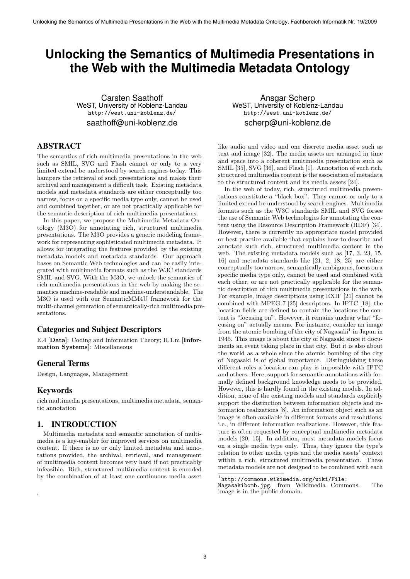## **Unlocking the Semantics of Multimedia Presentations in the Web with the Multimedia Metadata Ontology**

Carsten Saathoff WeST, University of Koblenz-Landau http://west.uni-koblenz.de/ saathoff@uni-koblenz.de

#### ABSTRACT

The semantics of rich multimedia presentations in the web such as SMIL, SVG and Flash cannot or only to a very limited extend be understood by search engines today. This hampers the retrieval of such presentations and makes their archival and management a difficult task. Existing metadata models and metadata standards are either conceptually too narrow, focus on a specific media type only, cannot be used and combined together, or are not practically applicable for the semantic description of rich multimedia presentations.

In this paper, we propose the Multimedia Metadata Ontology (M3O) for annotating rich, structured multimedia presentations. The M3O provides a generic modeling framework for representing sophisticated multimedia metadata. It allows for integrating the features provided by the existing metadata models and metadata standards. Our approach bases on Semantic Web technologies and can be easily integrated with multimedia formats such as the W3C standards SMIL and SVG. With the M3O, we unlock the semantics of rich multimedia presentations in the web by making the semantics machine-readable and machine-understandable. The M3O is used with our SemanticMM4U framework for the multi-channel generation of semantically-rich multimedia presentations.

#### Categories and Subject Descriptors

E.4 [Data]: Coding and Information Theory; H.1.m [Information Systems]: Miscellaneous

#### General Terms

Design, Languages, Management

#### Keywords

.

rich multimedia presentations, multimedia metadata, semantic annotation

### 1. INTRODUCTION

Multimedia metadata and semantic annotation of multimedia is a key-enabler for improved services on multimedia content. If there is no or only limited metadata and annotations provided, the archival, retrieval, and management of multimedia content becomes very hard if not practicably infeasible. Rich, structured multimedia content is encoded by the combination of at least one continuous media asset

Ansgar Scherp WeST, University of Koblenz-Landau http://west.uni-koblenz.de/ scherp@uni-koblenz.de

like audio and video and one discrete media asset such as text and image [32]. The media assets are arranged in time and space into a coherent multimedia presentation such as SMIL [35], SVG [36], and Flash [1]. Annotation of such rich, structured multimedia content is the association of metadata to the structured content and its media assets [24].

In the web of today, rich, structured multimedia presentations constitute a "black box". They cannot or only to a limited extend be understood by search engines. Multimedia formats such as the W3C standards SMIL and SVG forsee the use of Semantic Web technologies for annotating the content using the Resource Description Framework (RDF) [34]. However, there is currently no appropriate model provided or best practice available that explains how to describe and annotate such rich, structured multimedia content in the web. The existing metadata models such as [17, 3, 23, 15, 16] and metadata standards like [21, 2, 18, 25] are either conceptually too narrow, semantically ambiguous, focus on a specific media type only, cannot be used and combined with each other, or are not practically applicable for the semantic description of rich multimedia presentations in the web. For example, image descriptions using EXIF [21] cannot be combined with MPEG-7 [25] descriptors. In IPTC [18], the location fields are defined to contain the locations the content is "focusing on". However, it remains unclear what "focusing on" actually means. For instance, consider an image from the atomic bombing of the city of Nagasaki<sup>1</sup> in Japan in 1945. This image is about the city of Nagasaki since it documents an event taking place in that city. But it is also about the world as a whole since the atomic bombing of the city of Nagasaki is of global importance. Distinguishing these different roles a location can play is impossible with IPTC and others. Here, support for semantic annotations with formally defined background knowledge needs to be provided. However, this is hardly found in the existing models. In addition, none of the existing models and standards explicitly support the distinction between information objects and information realizations [8]. An information object such as an image is often available in different formats and resolutions, i.e., in different information realizations. However, this feature is often requested by conceptual multimedia metadata models [20, 15]. In addition, most metadata models focus on a single media type only. Thus, they ignore the type's relation to other media types and the media assets' context within a rich, structured multimedia presentation. These metadata models are not designed to be combined with each

<sup>1</sup> http://commons.wikimedia.org/wiki/File:

Nagasakibomb.jpg, from Wikimedia Commons. The image is in the public domain.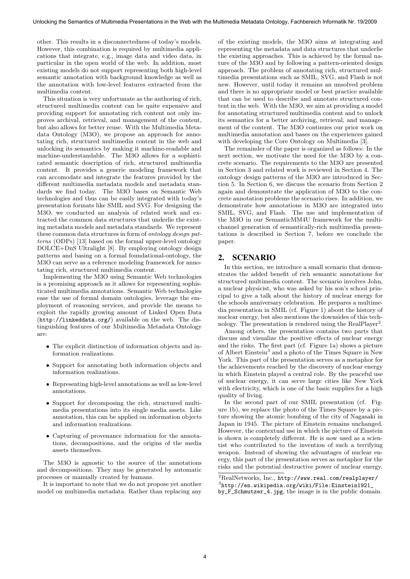other. This results in a disconnectedness of today's models. However, this combination is required by multimedia applications that integrate, e.g., image data and video data, in particular in the open world of the web. In addition, most existing models do not support representing both high-level semantic annotation with background knowledge as well as the annotation with low-level features extracted from the multimedia content.

This situation is very unfortunate as the authoring of rich, structured multimedia content can be quite expensive and providing support for annotating rich content not only improves archival, retrieval, and management of the content, but also allows for better reuse. With the Multimedia Metadata Ontology (M3O), we propose an approach for annotating rich, structured multimedia content in the web and unlocking its semantics by making it machine-readable and machine-understandable. The M3O allows for a sophisticated semantic description of rich, structured multimedia content. It provides a generic modeling framework that can accomodate and integrate the features provided by the different multimedia metadata models and metadata standards we find today. The M3O bases on Semantic Web technologies and thus can be easily integrated with today's presentation formats like SMIL and SVG. For designing the M3O, we conducted an analysis of related work and extracted the common data structures that underlie the existing metadata models and metadata standards. We represent these common data structures in form of ontology design patterns (ODPs) [13] based on the formal upper-level ontology DOLCE+DnS Ultralight [8]. By employing ontology design patterns and basing on a formal foundational-ontology, the M<sub>3</sub>O can serve as a reference modeling framework for annotating rich, structured multimedia content.

Implementing the M3O using Semantic Web technologies is a promising approach as it allows for representing sophisticated multimedia annotations. Semantic Web technologies ease the use of formal domain ontologies, leverage the employment of reasoning services, and provide the means to exploit the rapidly growing amount of Linked Open Data (http://linkeddata.org/) available on the web. The distinguishing features of our Multimedia Metadata Ontology are:

- The explicit distinction of information objects and information realizations.
- Support for annotating both information objects and information realizations.
- Representing high-level annotations as well as low-level annotations.
- Support for decomposing the rich, structured multimedia presentations into its single media assets. Like annotation, this can be applied on information objects and information realizations.
- Capturing of provenance information for the annotations, decompositions, and the origins of the media assets themselves.

The M3O is agnostic to the source of the annotations and decompositions. They may be generated by automatic processes or manually created by humans.

It is important to note that we do not propose yet another model on multimedia metadata. Rather than replacing any of the existing models, the M3O aims at integrating and representing the metadata and data structures that underlie the existing approaches. This is achieved by the formal nature of the M3O and by following a pattern-oriented design approach. The problem of annotating rich, structured multimedia presentations such as SMIL, SVG, and Flash is not new. However, until today it remains an unsolved problem and there is no appropriate model or best practice available that can be used to describe and annotate structured content in the web. With the M3O, we aim at providing a model for annotating structured multimedia content and to unlock its semantics for a better archiving, retrieval, and management of the content. The M3O continues our prior work on multimedia annotation and bases on the experiences gained with developing the Core Ontology on Multimedia [3].

The remainder of the paper is organized as follows: In the next section, we motivate the need for the M3O by a concrete scenario. The requirements to the M3O are presented in Section 3 and related work is reviewed in Section 4. The ontology design patterns of the M3O are introduced in Section 5. In Section 6, we discuss the scenario from Section 2 again and demonstrate the application of M3O to the concrete annotation problems the scenario rises. In addition, we demonstrate how annotations in M3O are integrated into SMIL, SVG, and Flash. The use and implementation of the M3O in our SemanticMM4U framework for the multichannel generation of semantically-rich multimedia presentations is described in Section 7, before we conclude the paper.

#### 2. SCENARIO

In this section, we introduce a small scenario that demonstrates the added benefit of rich semantic annotations for structured multimedia content. The scenario involves John, a nuclear physicist, who was asked by his son's school principal to give a talk about the history of nuclear energy for the schools anniversary celebration. He prepares a multimedia presentation in SMIL (cf. Figure 1) about the history of nuclear energy, but also mentions the downsides of this technology. The presentation is rendered using the RealPlayer<sup>2</sup>.

Among others, the presentation contains two parts that discuss and visualize the positive effects of nuclear energy and the risks. The first part (cf. Figure 1a) shows a picture of Albert Einstein<sup>3</sup> and a photo of the Times Square in New York. This part of the presentation serves as a metaphor for the achievements reached by the discovery of nuclear energy in which Einstein played a central role. By the peaceful use of nuclear energy, it can serve large cities like New York with electricity, which is one of the basic supplies for a high quality of living.

In the second part of our SMIL presentation (cf. Figure 1b), we replace the photo of the Times Square by a picture showing the atomic bombing of the city of Nagasaki in Japan in 1945. The picture of Einstein remains unchanged. However, the contextual use in which the picture of Einstein is shown is completely different. He is now used as a scientist who contributed to the invention of such a terrifying weapon. Instead of showing the advantages of nuclear energy, this part of the presentation serves as metaphor for the risks and the potential destructive power of nuclear energy.

 ${}^{2}$ RealNetworks, Inc., http://www.real.com/realplayer/

<sup>3</sup> http://en.wikipedia.org/wiki/File:Einstein1921\_

by\_F\_Schmutzer\_4.jpg, the image is in the public domain.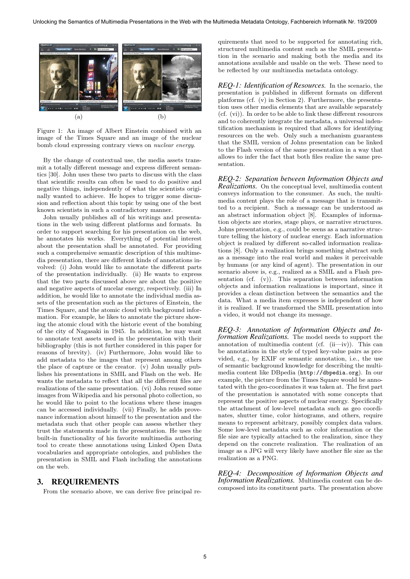

Figure 1: An image of Albert Einstein combined with an image of the Times Square and an image of the nuclear bomb cloud expressing contrary views on nuclear energy.

By the change of contextual use, the media assets transmit a totally different message and express different semantics [30]. John uses these two parts to discuss with the class that scientific results can often be used to do positive and negative things, independently of what the scientists originally wanted to achieve. He hopes to trigger some discussion and reflection about this topic by using one of the best known scientists in such a contradictory manner.

John usually publishes all of his writings and presentations in the web using different platforms and formats. In order to support searching for his presentation on the web, he annotates his works. Everything of potential interest about the presentation shall be annotated. For providing such a comprehensive semantic description of this multimedia presentation, there are different kinds of annotations involved: (i) John would like to annotate the different parts of the presentation individually. (ii) He wants to express that the two parts discussed above are about the positive and negative aspects of nucelar energy, respectively. (iii) In addition, he would like to annotate the individual media assets of the presentation such as the pictures of Einstein, the Times Square, and the atomic cloud with background information. For example, he likes to annotate the picture showing the atomic cloud with the historic event of the bombing of the city of Nagasaki in 1945. In addition, he may want to annotate text assets used in the presentation with their bibliography (this is not further considered in this paper for reasons of brevity). (iv) Furthermore, John would like to add metadata to the images that represent among others the place of capture or the creator. (v) John usually publishes his presentations in SMIL and Flash on the web. He wants the metadata to reflect that all the different files are realizations of the same presentation. (vi) John reused some images from Wikipedia and his personal photo collection, so he would like to point to the locations where these images can be accessed individually. (vii) Finally, he adds provenance information about himself to the presentation and the metadata such that other people can assess whether they trust the statements made in the presentation. He uses the built-in functionality of his favorite multimedia authoring tool to create these annotations using Linked Open Data vocabularies and appropriate ontologies, and publishes the presentation in SMIL and Flash including the annotations on the web.

#### 3. REQUIREMENTS

From the scenario above, we can derive five principal re-

quirements that need to be supported for annotating rich, structured multimedia content such as the SMIL presentation in the scenario and making both the media and its annotations available and usable on the web. These need to be reflected by our multimedia metadata ontology.

*REQ-1: Identification of Resources.* In the scenario, the presentation is published in different formats on different platforms (cf. (v) in Section 2). Furthermore, the presentation uses other media elements that are available separately (cf. (vi)). In order to be able to link these different resources and to coherently integrate the metadata, a universal indentification mechanism is required that allows for identifying resources on the web. Only such a mechanism guarantess that the SMIL version of Johns presentation can be linked to the Flash version of the same presentation in a way that allows to infer the fact that both files realize the same presentation.

*REQ-2: Separation between Information Objects and Realizations.* On the conceptual level, multimedia content conveys information to the consumer. As such, the multimedia content plays the role of a message that is transmitted to a recipient. Such a message can be understood as an abstract information object [8]. Examples of information objects are stories, stage plays, or narrative structures. Johns presentation, e.g., could be seens as a narrative structure telling the history of nuclear energy. Each information object is realized by different so-called information realizations [8]. Only a realization brings something abstract such as a message into the real world and makes it perceivable by humans (or any kind of agent). The presentation in our scenario above is, e.g., realized as a SMIL and a Flash presentation (cf. (v)). This separation between information objects and information realizations is important, since it provides a clean distinction between the semantics and the data. What a media item expresses is independent of how it is realized. If we transformed the SMIL presentation into a video, it would not change its message.

*REQ-3: Annotation of Information Objects and Information Realizations.* The model needs to support the annotation of multimedia content (cf.  $(ii—iv)$ ). This can be annotations in the style of typed key-value pairs as provided, e.g., by EXIF or semantic annotation, i.e., the use of semantic background knowledge for describing the multimedia content like DBpedia (http://dbpedia.org). In our example, the picture from the Times Square would be annotated with the geo-coordinates it was taken at. The first part of the presentation is annotated with some concepts that represent the positive aspects of nuclear energy. Specifically the attachment of low-level metadata such as geo coordinates, shutter time, color histograms, and others, require means to represent arbitrary, possibly complex data values. Some low-level metadata such as color information or the file size are typically attached to the realization, since they depend on the concrete realization. The realization of an image as a JPG will very likely have another file size as the realization as a PNG.

*REQ-4: Decomposition of Information Objects and Information Realizations.* Multimedia content can be decomposed into its constituent parts. The presentation above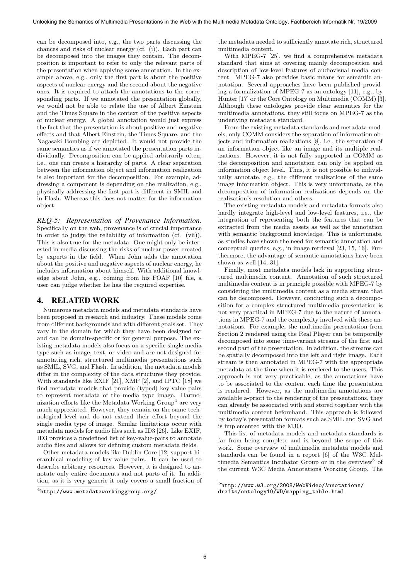can be decomposed into, e.g., the two parts discussing the chances and risks of nuclear energy (cf. (i)). Each part can be decomposed into the images they contain. The decomposition is important to refer to only the relevant parts of the presentation when applying some annotation. In the example above, e.g., only the first part is about the positive aspects of nuclear energy and the second about the negative ones. It is required to attach the annotations to the corresponding parts. If we annotated the presentation globally, we would not be able to relate the use of Albert Einstein and the Times Square in the context of the positive aspects of nuclear energy. A global annotation would just express the fact that the presentation is about positive and negative effects and that Albert Einstein, the Times Square, and the Nagasaki Bombing are depicted. It would not provide the same semantics as if we annotated the presentation parts individually. Decomposition can be applied arbitrarily often, i.e., one can create a hierarchy of parts. A clear separation between the information object and information realization is also important for the decomposition. For example, addressing a component is depending on the realization, e.g., physically addressing the first part is different in SMIL and in Flash. Whereas this does not matter for the information object.

*REQ-5: Representation of Provenance Information.* Specifically on the web, provenance is of crucial importance in order to judge the reliability of information (cf. (vii)). This is also true for the metadata. One might only be interested in media discussing the risks of nuclear power created by experts in the field. When John adds the annotation about the positive and negative aspects of nuclear energy, he includes information about himself. With additional knowledge about John, e.g., coming from his FOAF [10] file, a user can judge whether he has the required expertise.

#### 4. RELATED WORK

Numerous metadata models and metadata standards have been proposed in research and industry. These models come from different backgrounds and with different goals set. They vary in the domain for which they have been designed for and can be domain-specific or for general purpose. The existing metadata models also focus on a specific single media type such as image, text, or video and are not designed for annotating rich, structured multimedia presentations such as SMIL, SVG, and Flash. In addition, the metadata models differ in the complexity of the data structures they provide. With standards like EXIF [21], XMP [2], and IPTC [18] we find metadata models that provide (typed) key-value pairs to represent metadata of the media type image. Harmonization efforts like the Metadata Working Group<sup>4</sup> are very much appreciated. However, they remain on the same technological level and do not extend their effort beyond the single media type of image. Similar limitations occur with metadata models for audio files such as ID3 [26]. Like EXIF, ID3 provides a predefined list of key-value-pairs to annotate audio files and allows for defining custom metadata fields.

Other metadata models like Dublin Core [12] support hierarchical modeling of key-value pairs. It can be used to describe arbitrary resources. However, it is designed to annotate only entire documents and not parts of it. In addition, as it is very generic it only covers a small fraction of

the metadata needed to sufficiently annotate rich, structured multimedia content.

With MPEG-7 [25], we find a comprehensive metadata standard that aims at covering mainly decomposition and description of low-level features of audiovisual media content. MPEG-7 also provides basic means for semantic annotation. Several approaches have been published providing a formalization of MPEG-7 as an ontology [11], e.g., by Hunter [17] or the Core Ontology on Multimedia (COMM) [3]. Although these ontologies provide clear semantics for the multimedia annotations, they still focus on MPEG-7 as the underlying metadata standard.

From the existing metadata standards and metadata models, only COMM considers the separation of information objects and information realizations [8], i.e., the separation of an information object like an image and its multiple realizations. However, it is not fully supported in COMM as the decomposition and annotation can only be applied on information object level. Thus, it is not possible to individually annotate, e.g., the different realizations of the same image information object. This is very unfortunate, as the decomposition of information realizations depends on the realization's resolution and others.

The existing metadata models and metadata formats also hardly integrate high-level and low-level features, i.e., the integration of representing both the features that can be extracted from the media assets as well as the annotation with semantic background knowledge. This is unfortunate, as studies have shown the need for semantic annotation and conceptual queries, e.g., in image retrieval [23, 15, 16]. Furthermore, the advantage of semantic annotations have been shown as well [14, 31].

Finally, most metadata models lack in supporting structured multimedia content. Annotation of such structured multimedia content is in principle possible with MPEG-7 by considering the multimedia content as a media stream that can be decomposed. However, conducting such a decomposition for a complex structured multimedia presentation is not very practical in MPEG-7 due to the nature of annotations in MPEG-7 and the complexity involved with these annotations. For example, the multimedia presentation from Section 2 rendered using the Real Player can be temporally decomposed into some time-variant streams of the first and second part of the presentation. In addition, the streams can be spatially decomposed into the left and right image. Each stream is then annotated in MPEG-7 with the appropriate metadata at the time when it is rendered to the users. This approach is not very practicable, as the annotations have to be associated to the content each time the presentation is rendered. However, as the multimedia annotations are available a-priori to the rendering of the presentations, they can already be associated with and stored together with the multimedia content beforehand. This approach is followed by today's presentation formats such as SMIL and SVG and is implemented with the M3O.

This list of metadata models and metadata standards is far from being complete and is beyond the scope of this work. Some overview of multimedia metadata models and standards can be found in a report [6] of the W3C Multimedia Semantics Incubator Group or in the overview<sup>5</sup> of the current W3C Media Annotations Working Group. The

 $^4$ http://www.metadataworkinggroup.org/

<sup>5</sup> http://www.w3.org/2008/WebVideo/Annotations/ drafts/ontology10/WD/mapping\_table.html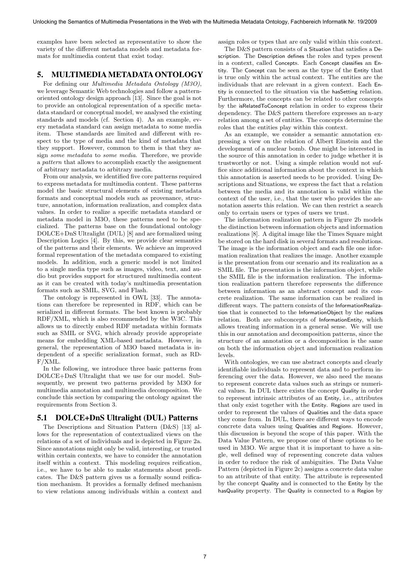examples have been selected as representative to show the variety of the different metadata models and metadata formats for multimedia content that exist today.

#### 5. MULTIMEDIAMETADATA ONTOLOGY

For defining our Multimedia Metadata Ontology (M3O), we leverage Semantic Web technologies and follow a patternoriented ontology design approach [13]. Since the goal is not to provide an ontological representation of a specific metadata standard or conceptual model, we analysed the existing standards and models (cf. Section 4). As an example, every metadata standard can assign metadata to some media item. These standards are limited and different with respect to the type of media and the kind of metadata that they support. However, common to them is that they assign some metadata to some media. Therefore, we provide a pattern that allows to accomplish exactly the assignement of arbitrary metadata to arbitrary media.

From our analysis, we identified five core patterns required to express metadata for multimedia content. These patterns model the basic structural elements of existing metadata formats and conceptual models such as provenance, structure, annotation, information realization, and complex data values. In order to realize a specific metadata standard or metadata model in M3O, these patterns need to be specialized. The patterns base on the foundational ontology DOLCE+DnS Ultralight (DUL) [8] and are formalized using Description Logics [4]. By this, we provide clear semantics of the patterns and their elements. We achieve an improved formal representation of the metadata compared to existing models. In addition, such a generic model is not limited to a single media type such as images, video, text, and audio but provides support for structured multimedia content as it can be created with today's multimedia presentation formats such as SMIL, SVG, and Flash.

The ontology is represented in OWL [33]. The annotations can therefore be represented in RDF, which can be serialized in different formats. The best known is probably RDF/XML, which is also recommended by the W3C. This allows us to directly embed RDF metadata within formats such as SMIL or SVG, which already provide appropriate means for embedding XML-based metadata. However, in general, the representation of M3O based metadata is independent of a specific serialization format, such as RD-F/XML.

In the following, we introduce three basic patterns from DOLCE+DnS Ultralight that we use for our model. Subsequently, we present two patterns provided by M3O for multimedia annotation and multimedia decomposition. We conclude this section by comparing the ontology against the requirements from Section 3.

#### 5.1 DOLCE+DnS Ultralight (DUL) Patterns

The Descriptions and Situation Pattern (D&S) [13] allows for the representation of contextualized views on the relations of a set of individuals and is depicted in Figure 2a. Since annotations might only be valid, interesting, or trusted within certain contexts, we have to consider the annotation itself within a context. This modeling requires reification, i.e., we have to be able to make statements about predicates. The D&S pattern gives us a formally sound reification mechanism. It provides a formally defined mechanism to view relations among individuals within a context and assign roles or types that are only valid within this context.

The D&S pattern consists of a Situation that satisfies a Description. The Description defines the roles and types present in a context, called Concepts. Each Concept classifies an Entity. The Concept can be seen as the type of the Entity that is true only within the actual context. The entities are the individuals that are relevant in a given context. Each Entity is connected to the situation via the hasSetting relation. Furthermore, the concepts can be related to other concepts by the isRelatedToConcept relation in order to express their dependency. The D&S pattern therefore expresses an n-ary relation among a set of entities. The concepts determine the roles that the entities play within this context.

As an example, we consider a semantic annotation expressing a view on the relation of Albert Einstein and the development of a nuclear bomb. One might be interested in the source of this annotation in order to judge whether it is trustworthy or not. Using a simple relation would not suffice since additional information about the context in which this annotation is asserted needs to be provided. Using Descriptions and Situations, we express the fact that a relation between the media and its annotation is valid within the context of the user, i.e., that the user who provides the annotation asserts this relation. We can then restrict a search only to certain users or types of users we trust.

The information realization pattern in Figure 2b models the distinction between information objects and information realizations [8]. A digital image like the Times Square might be stored on the hard disk in several formats and resolutions. The image is the information object and each file one information realization that realizes the image. Another example is the presentation from our scenario and its realization as a SMIL file. The presentation is the information object, while the SMIL file is the information realization. The information realization pattern therefore represents the difference between information as an abstract concept and its concrete realization. The same information can be realized in different ways. The pattern consists of the InformationRealization that is connected to the InformationObject by the realizes relation. Both are subconcepts of InformationEntity, which allows treating information in a general sense. We will use this in our annotation and decomposition patterns, since the structure of an annotation or a decomposition is the same on both the information object and information realization levels.

With ontologies, we can use abstract concepts and clearly identifiable individuals to represent data and to perform inferencing over the data. However, we also need the means to represent concrete data values such as strings or numerical values. In DUL there exists the concept Quality in order to represent intrinsic attributes of an Entity, i.e., attributes that only exist together with the Entity. Regions are used in order to represent the values of Qualities and the data space they come from. In DUL, there are different ways to encode concrete data values using Qualities and Regions. However, this discussion is beyond the scope of this paper. With the Data Value Pattern, we propose one of these options to be used in M3O. We argue that it is important to have a single, well defined way of representing concrete data values in order to reduce the risk of ambiguities. The Data Value Pattern (depicted in Figure 2c) assigns a concrete data value to an attribute of that entity. The attribute is represented by the concept Quality and is connected to the Entity by the hasQuality property. The Quality is connected to a Region by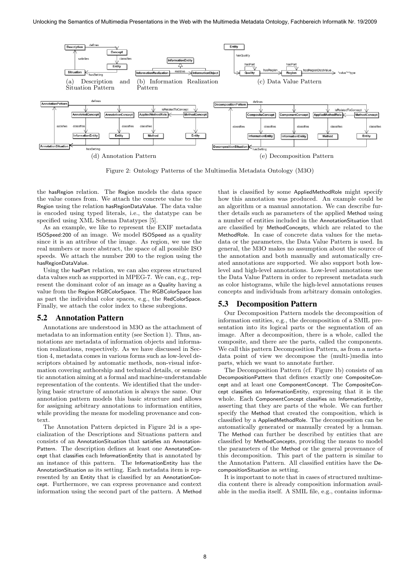

Figure 2: Ontology Patterns of the Multimedia Metadata Ontology (M3O)

the hasRegion relation. The Region models the data space the value comes from. We attach the concrete value to the Region using the relation hasRegionDataValue. The data value is encoded using typed literals, i.e., the datatype can be specified using XML Schema Datatypes [5].

As an example, we like to represent the EXIF metadata ISOSpeed:200 of an image. We model ISOSpeed as a quality since it is an attribue of the image. As region, we use the real numbers or more abstract, the space of all possible ISO speeds. We attach the number 200 to the region using the hasRegionDataValue.

Using the hasPart relation, we can also express structured data values such as supported in MPEG-7. We can, e.g., represent the dominant color of an image as a Quality having a value from the Region RGBColorSpace. The RGBColorSpace has as part the individual color spaces, e.g., the RedColorSpace. Finally, we attach the color index to these subregions.

#### 5.2 Annotation Pattern

Annotations are understood in M3O as the attachment of metadata to an information entity (see Section 1). Thus, annotations are metadata of information objects and information realizations, respectively. As we have discussed in Section 4, metadata comes in various forms such as low-level descriptors obtained by automatic methods, non-visual information covering authorship and technical details, or semantic annotation aiming at a formal and machine-understandable representation of the contents. We identified that the underlying basic structure of annotation is always the same. Our annotation pattern models this basic structure and allows for assigning arbitrary annotations to information entities, while providing the means for modeling provenance and context.

The Annotation Pattern depicted in Figure 2d is a specialization of the Descriptions and Situations pattern and consists of an AnnotationSituation that satisfies an Annotation-Pattern. The description defines at least one AnnotatedConcept that classifies each InformationEntity that is annotated by an instance of this pattern. The InformationEntity has the AnnotationSituation as its setting. Each metadata item is represented by an Entity that is classified by an AnnotationConcept. Furthermore, we can express provenance and context information using the second part of the pattern. A Method

that is classified by some AppliedMethodRole might specify how this annotation was produced. An example could be an algorithm or a manual annotation. We can describe further details such as parameters of the applied Method using a number of entities included in the AnnotationSituation that are classified by MethodConcepts, which are related to the MethodRole. In case of concrete data values for the metadata or the parameters, the Data Value Pattern is used. In general, the M3O makes no assumption about the source of the annotation and both manually and automatically created annotations are supported. We also support both lowlevel and high-level annotations. Low-level annotations use the Data Value Pattern in order to represent metadata such as color histograms, while the high-level annotations reuses concepts and individuals from arbitrary domain ontologies.

#### 5.3 Decomposition Pattern

Our Decomposition Pattern models the decomposition of information entities, e.g., the decomposition of a SMIL presentation into its logical parts or the segmentation of an image. After a decomposition, there is a whole, called the composite, and there are the parts, called the components. We call this pattern Decomposition Pattern, as from a metadata point of view we decompose the (multi-)media into parts, which we want to annotate further.

The Decomposition Pattern (cf. Figure 1b) consists of an DecompositionPattern that defines exactly one CompositeConcept and at least one ComponentConcept. The CompositeConcept classifies an InformationEntity, expressing that it is the whole. Each ComponentConcept classifies an InformationEntity, asserting that they are parts of the whole. We can further specify the Method that created the composition, which is classified by a AppliedMethodRole. The decomposition can be automatically generated or manually created by a human. The Method can further be described by entities that are classified by MethodConcepts, providing the means to model the parameters of the Method or the general provenance of this decomposition. This part of the pattern is similar to the Annotation Pattern. All classified entities have the DecompositionSituation as setting.

It is important to note that in cases of structured multimedia content there is already composition information available in the media itself. A SMIL file, e.g., contains informa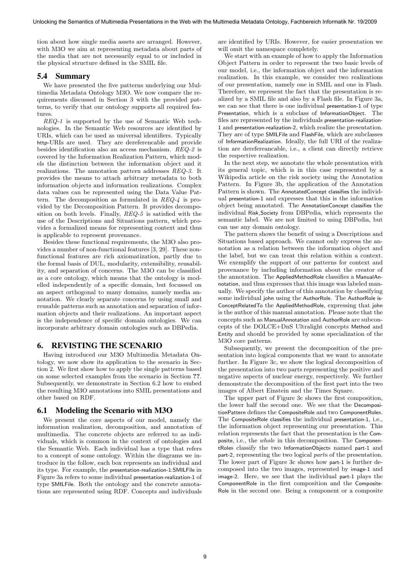tion about how single media assets are arranged. However, with M3O we aim at representing metadata about parts of the media that are not necessarily equal to or included in the physical structure defined in the SMIL file.

#### 5.4 Summary

We have presented the five patterns underlying our Multimedia Metadata Ontology M3O. We now compare the requirements discussed in Section 3 with the provided patterns, to verify that our ontology supports all required features.

REQ-1 is supported by the use of Semantic Web technologies. In the Semantic Web resources are identified by URIs, which can be used as universal identifiers. Typically http-URIs are used. They are dereferencable and provide besides identification also an access mechanism. REQ-2 is covered by the Information Realization Pattern, which models the distinction between the information object and it realizations. The annotation pattern addresses REQ-3. It provides the means to attach arbitrary metadata to both information objects and information realizations. Complex data values can be represented using the Data Value Pattern. The decomposition as formulated in REQ-4 is provided by the Decomposition Pattern. It provides decomposition on both levels. Finally, REQ-5 is satisfied with the use of the Descriptions and Situations pattern, which provides a formalized means for representing context and thus is applicable to represent provenance.

Besides these functional requirements, the M3O also provides a number of non-functional features [3, 29]. These nonfunctional features are rich axiomatization, partly due to the formal basis of DUL, modularity, extensibility, reusability, and separation of concerns. The M3O can be classified as a core ontology, which means that the ontology is modelled independently of a specific domain, but focussed on an aspect orthogonal to many domains, namely media annotation. We clearly separate concerns by using small and reusable patterns such as annotation and separation of information objects and their realizations. An important aspect is the independence of specific domain ontologies. We can incorporate arbitrary domain ontologies such as DBPedia.

#### 6. REVISTING THE SCENARIO

Having introduced our M3O Multimedia Metadata Ontology, we now show its application to the scenario in Section 2. We first show how to apply the single patterns based on some selected examples from the scenario in Section ??. Subsequently, we demonstrate in Section 6.2 how to embed the resulting M3O annotations into SMIL presentations and other based on RDF.

#### 6.1 Modeling the Scenario with M3O

We present the core aspects of our model, namely the information realization, decomposition, and annotation of multimedia. The concrete objects are referred to as individuals, which is common in the context of ontologies and the Semantic Web. Each individual has a type that refers to a concept of some ontology. Within the diagrams we introduce in the follow, each box represents an individual and its type. For example, the presentation-realization-1:SMILFile in Figure 3a refers to some individual presentation-realization-1 of type SMILFile. Both the ontology and the concrete annotations are represented using RDF. Concepts and individuals

are identified by URIs. However, for easier presentation we will omit the namespace completely.

We start with an example of how to apply the Information Object Pattern in order to represent the two basic levels of our model, i.e., the information object and the information realization. In this example, we consider two realizations of our presentation, namely one in SMIL and one in Flash. Therefore, we represent the fact that the presentation is realized by a SMIL file and also by a Flash file. In Figure 3a, we can see that there is one individual presentation-1 of type Presentation, which is a subclass of InformationObject. The files are represented by the individuals presentation-realization-1 and presentation-realization-2, which realize the presentation. They are of type SMILFile and FlashFile, which are subclasses of InformationRealization. Ideally, the full URI of the realization are derefereancable, i.e., a client can directly retrieve the respective realization.

In the next step, we annotate the whole presentation with its general topic, which is in this case represented by a Wikipedia article on the risk society using the Annotation Pattern. In Figure 3b, the application of the Annotation Pattern is shown. The AnnotatedConcept classifies the individual presentation-1 and expresses that this is the information object being annotated. The AnnotationConcept classifies the individual Risk Society from DBPedia, which represents the semantic label. We are not limited to using DBPedia, but can use any domain ontology.

The pattern shows the benefit of using a Descriptions and Situations based approach. We cannot only express the annotation as a relation between the information object and the label, but we can treat this relation within a context. We exemplify the support of our patterns for context and provenance by including information about the creator of the annotation. The AppliedMethodRole classifies a ManualAnnotation, and thus expresses that this image was labeled manually. We specify the author of this annotation by classifying some individual john using the AuthorRole. The AuthorRole is-ConceptRelatedTo the AppliedMethodRole, expressing that john is the author of this manual annotation. Please note that the concepts such as ManualAnnotation and AuthorRole are subconcepts of the DOLCE+DnS Ultralight concepts Method and Entity and should be provided by some specialization of the M3O core patterns.

Subsequently, we present the decomposition of the presentation into logical components that we want to annotate further. In Figure 3c, we show the logical decomposition of the presentation into two parts representing the positive and negative aspects of nuclear energy, respectively. We further demonstrate the decomposition of the first part into the two images of Albert Einstein and the Times Square.

The upper part of Figure 3c shows the first composition, the lower half the second one. We see that the DecompositionPattern defines the CompositeRole and two ComponentRoles. The CompositeRole classifies the individual presentation-1, i.e., the information object representing our presentation. This relation represents the fact that the presentation is the Composite, i.e., the whole in this decomposition. The ComponentRoles classify the two InformationObjects named part-1 and part-2, representing the two logical parts of the presentation. The lower part of Figure 3c shows how part-1 is further decomposed into the two images, represented by image-1 and image-2. Here, we see that the individual part-1 plays the ComponentRole in the first composition and the Composite-Role in the second one. Being a component or a composite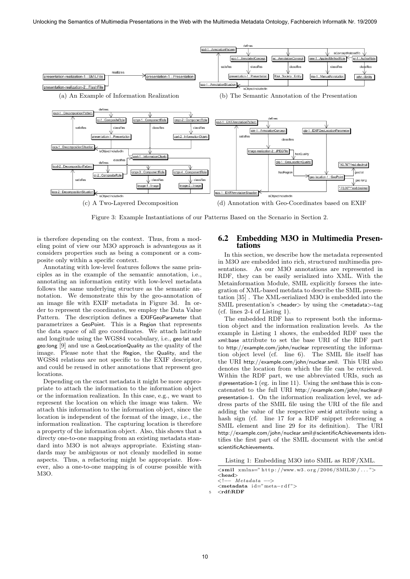

Figure 3: Example Instantiations of our Patterns Based on the Scenario in Section 2.

is therefore depending on the context. Thus, from a modeling point of view our M3O approach is advantegous as it considers properties such as being a component or a composite only within a specific context.

Annotating with low-level features follows the same principles as in the example of the semantic annotation, i.e., annotating an information entity with low-level metadata follows the same underlying structure as the semantic annotation. We demonstrate this by the geo-annotation of an image file with EXIF metadata in Figure 3d. In order to represent the coordinates, we employ the Data Value Pattern. The description defines a EXIFGeoParameter that parametrizes a GeoPoint. This is a Region that represents the data space of all geo coordinates. We attach latitude and longitude using the WGS84 vocabulary, i.e., geo:lat and geo:long [9] and use a GeoLocationQuality as the quality of the image. Please note that the Region, the Quality, and the WGS84 relations are not specific to the EXIF descriptor, and could be reused in other annotations that represent geo locations.

Depending on the exact metadata it might be more appropriate to attach the information to the information object or the information realization. In this case, e.g., we want to represent the location on which the image was taken. We attach this information to the information object, since the location is independent of the format of the image, i.e., the information realization. The capturing location is therefore a property of the information object. Also, this shows that a directy one-to-one mapping from an existing metadata standard into M3O is not always appropriate. Existing standards may be ambiguous or not cleanly modelled in some aspects. Thus, a refactoring might be appropriate. However, also a one-to-one mapping is of course possible with M3O.

#### 6.2 Embedding M3O in Multimedia Presentations

In this section, we describe how the metadata represented in M3O are embedded into rich, structured multimedia presentations. As our M3O annotations are represented in RDF, they can be easily serialized into XML. With the Metainformation Module, SMIL explicitly forsees the integration of XML-based metdata to describe the SMIL presentation [35] . The XML-serialized M3O is embedded into the SMIL presentation's <header> by using the <metadata>-tag (cf. lines 2-4 of Listing 1).

The embedded RDF has to represent both the information object and the information realization levels. As the example in Listing 1 shows, the embedded RDF uses the xml:base attribute to set the base URI of the RDF part to http://example.com/john/nuclear representing the information object level (cf. line 6). The SMIL file itself has the URI http://example.com/john/nuclear.smil. This URI also denotes the location from which the file can be retrieved. Within the RDF part, we use abbreviated URIs, such as #presentation-1 (eg. in line 11). Using the xml:base this is concatenated to the full URI http://example.com/john/nuclear# presentation-1. On the information realization level, we address parts of the SMIL file using the URI of the file and adding the value of the respective xml:id attribute using a hash sign (cf. line 17 for a RDF snippet referencing a SMIL element and line 29 for its definition). The URI http://example.com/john/nuclear.smil#scientificAchievements identifies the first part of the SMIL document with the xml:id scientificAchievements.

Listing 1: Embedding M3O into SMIL as RDF/XML.

```
\langle \text{small } \xspace xmlns=" http://www.w3.org/2006/SMIL30/..." \rangle<head>
\leq =− Metadata
```
<metadata id="meta-rdf">

5 <rdf:RDF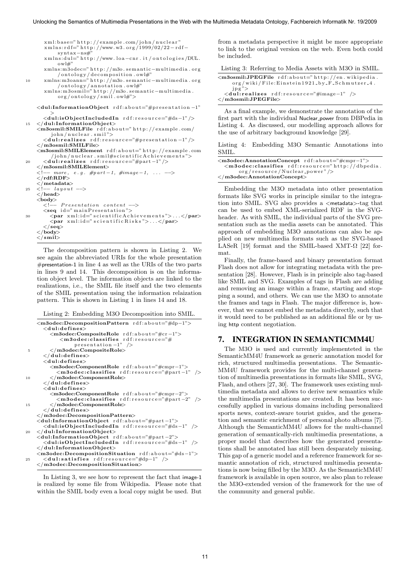```
xml:base="http://example.com/john/nuclear"xm l n s : r d f=" h t t p : //www.w3.org/1999/02/22 - r d f -
               syntax−ns#"
        xmlns:dul=" http://www.loa-cnr.it/ontologies/DUL.
               \alpha ow \frac{1}{2}xmlns:m3odec=" http://m3o.semantic-multimedia.org
/ o n t o l o g y / d e c om p o s i t i o n . ow l#"
10 xmlns:m3oann=" h t t p : //m3o . s emant i c−mu lt im ed ia . o r g
         /ontology/annotation.owl#"<br>xmlns:m3osmil="http://m3o.semantic−multimedia.
               o r g / o n t o l o g y / sm i l . ow l#">
     <dul:InformationObject r d f : a b o u t="#p r e s e n t a t i o n −1"
        ><br><dul:isObjectIncludedIn rdf:resource="#ds−1" />
15 </dul:InformationObject>
     <m3osmil:SMILFile r d f : a b o u t=" h t t p : // examp le . com/
            john/nuclear . smil">
        <d u l : r e a l i z e s r d f : r e s o u r c e="#p r e s e n t a t i o n −1" />
     \langle/m3osmil:SMILFile>
     <m3osmil:SMILElement r d f : a b o u t=" h t t p : // examp le . com
            /john/nuclear . smil#scientificAchievements'
         20 <d u l : r e a l i z e s r d f : r e s o u r c e="#part −1" />
     \langle/m3osmil:SMILElement>
                      e.g. #part -1, #image -1, ... -->
     \langle - \rangle - \sim \sim \langle \rangle rdf:RDF>
     \langle/metadata><br>\langle!-- layout
          - layout -</head>
     <body>\lt!! Presentation content \to<seq i d=" m a i n P r e s e n t a t i o n ">
30 < par xml:id=" scientific A chievements">...</par><br>< par xml:id=" scientific Risks">...</par>
         \langle / \text{seq} \rangle\langle/body>
     \langle/smil>
   The control of the control of the Company of Table 11 (m) and the Multimedia Presentations in the Multimedia Presentations in the Multimedia Presentations in the Multimedia Presentations in the Multimedia Presentations in
```
The decomposition pattern is shown in Listing 2. We see again the abbreviated URIs for the whole presentation #presentation-1 in line 4 as well as the URIs of the two parts in lines 9 and 14. This decomposition is on the information object level. The information objects are linked to the realizations, i.e., the SMIL file itself and the two elements of the SMIL presentation using the information relaization pattern. This is shown in Listing 1 in lines 14 and 18.

Listing 2: Embedding M3O Decomposition into SMIL.

```
<m3odec:DecompositionPattern r d f : a b o u t="#dp−1">
       <dul:defines><m3odec:CompositeRole r d f : a b o u t="#cr −1">
             \langlem3odec:classifies rdf:resource="#<br>presentation -1" />
         \frac{1"}{\text{8}} presentation -1" />
       \langle/dul:defines>
       <dul: defines><m3odec:ComponentRole r d f : a b o u t="#cmpr−1">
            <m3odec:classifies rdf:resource="#part-1" />
10 </m3odec:ComponentRole>
       \epsilon/dul defines\sim\langledul: defines>
         <m3odec:ComponentRole r d f : a b o u t="#cmpr−2">
            <m3odec:classifies rdf:resource="#part-2" />
         \langle/m3odec:ComponentRole\rangle\langle/dul:defines>
    \langle/m3odec:DecompositionPattern>
    <dul:InformationObject r d f : a b o u t="#part −1">
       <dul:isObjectIncludedIn rdf:resource="#ds-1" />
20 </dul:InformationObject>
    <dul:InformationObject r d f : a b o u t="#part −2">
       <du l : isObjectInc ludedIn r d f : r e s o u r c e="#ds−1" />
    </dul:InformationObject>
    <m3odec:DecompositionSituation r d f : a b o u t="#ds−1">
       \langle \text{dul:} \text{satisfies} \text{ rdf:} \text{resource} = "#dp-1" \rangle\langle/m3odec:DecompositionSituation>
```
In Listing 3, we see how to represent the fact that image-1 is realized by some file from Wikipedia. Please note that within the SMIL body even a local copy might be used. But from a metadata perspective it might be more appropriate to link to the original version on the web. Even both could be included.

Listing 3: Referring to Media Assets with M3O in SMIL.

| $<$ m3osmil:JPEGFile $\text{rdf:about}=" \text{http://en.wikipedia}$ |  |
|----------------------------------------------------------------------|--|
| org/wiki/File:Einstein1921_by_F_Schmutzer_4.                         |  |
| $i$ pg">                                                             |  |
| $\langle$ dul:realizes rdf:resource="#image-1" />                    |  |
| $\langle$ /m3osmil:JPEGFile>                                         |  |

As a final example, we demonstrate the annotation of the first part with the individual Nuclear power from DBPedia in Listing 4. As discussed, our modelling approach allows for the use of arbitrary background knowledge [29].

Listing 4: Embedding M3O Semantic Annotations into SMIL.

| $<$ m3odec:AnnotationConcept rdf:about="#cmpr-1">         |
|-----------------------------------------------------------|
| $\langle$ m3odec:classifies rdf:resource="http://dbpedia. |
| $org/resource/Nuclear-power''$ />                         |
| $\langle$ /m3odec:AnnotationConcept $\rangle$             |

Embedding the M3O metadata into other presentation formats like SVG works in principle similar to the integration into SMIL. SVG also provides a <metadata>-tag that can be used to embed XML-serialized RDF in the SVGheader. As with SMIL, the individual parts of the SVG presentation such as the media assets can be annotated. This approach of embedding M3O annotations can also be applied on new multimedia formats such as the SVG-based LASeR [19] format and the SMIL-based XMT- $\Omega$  [22] format.

Finally, the frame-based and binary presentation format Flash does not allow for integrating metadata with the presentation [28]. However, Flash is in principle also tag-based like SMIL and SVG. Examples of tags in Flash are adding and removing an image within a frame, starting and stopping a sound, and others. We can use the M3O to annotate the frames and tags in Flash. The major difference is, however, that we cannot embed the metadata directly, such that it would need to be published as an additional file or by using http content negotiation.

#### 7. INTEGRATION IN SEMANTICMM4U

The M3O is used and currently implementeted in the SemanticMM4U framework as generic annotation model for rich, structured multimedia presentations. The Semantic-MM4U framework provides for the multi-channel generation of multimedia presentations in formats like SMIL, SVG, Flash, and others [27, 30]. The framework uses existing multimedia metadata and allows to derive new semantics while the multimedia presentations are created. It has been successfully applied in various domains including personalized sports news, context-aware tourist guides, and the generation and semantic enrichment of personal photo albums [7]. Although the SemanticMM4U allows for the multi-channel generation of semantically-rich multimedia presentations, a proper model that describes how the generated presentations shall be annotated has still been desparately missing. This gap of a generic model and a reference framework for semantic annotation of rich, structured multimedia presentations is now being filled by the M3O. As the SemanticMM4U framework is available in open source, we also plan to release the M3O-extended version of the framework for the use of the community and general public.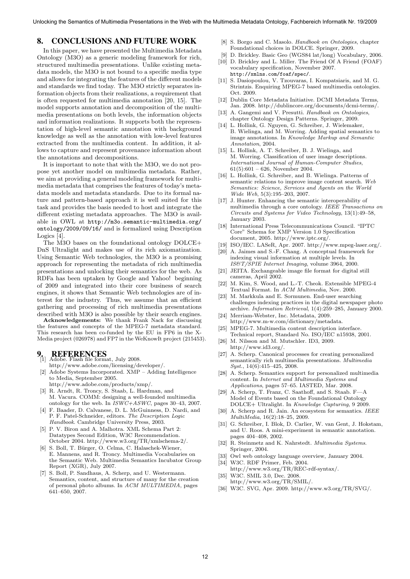#### 8. CONCLUSIONS AND FUTURE WORK

In this paper, we have presented the Multimedia Metadata Ontology (M3O) as a generic modeling framework for rich, structured multimedia presentations. Unlike existing metadata models, the M3O is not bound to a specific media type and allows for integrating the features of the different models and standards we find today. The M3O strictly separates information objects from their realizations, a requirement that is often requested for multimedia annotation [20, 15]. The model supports annotation and decomposition of the multimedia presentations on both levels, the information objects and information realizations. It supports both the representation of high-level semantic annotation with background knowledge as well as the annotation with low-level features extracted from the multimedia content. In addition, it allows to capture and represent provenance information about the annotations and decompositions. 12 **Lateration Conservation Conservation Conservation Conservation Conservation Conservation Conservation Conservation Conservation Conservation Conservation Conservation Conservation Conservation Conservation Conservati** 

It is important to note that with the M3O, we do not propose yet another model on multimedia metadata. Rather, we aim at providing a general modeling framework for multimedia metadata that comprises the features of today's metadata models and metadata standards. Due to its formal nature and pattern-based approach it is well suited for this task and provides the basis needed to host and integrate the different existing metadata approaches. The M3O is available in OWL at http://m3o.semantic-multimedia.org/ ontology/2009/09/16/ and is formalized using Description Logics [4].

The M3O bases on the foundational ontology DOLCE+ DnS Ultralight and makes use of its rich axiomatization. Using Semantic Web technologies, the M3O is a promising approach for representing the metadata of rich multimedia presentations and unlocking their semantics for the web. As RDFa has been uptaken by Google and Yahoo! beginning of 2009 and integrated into their core business of search engines, it shows that Semantic Web technologies are of interest for the industry. Thus, we assume that an efficient gathering and processing of rich multimedia presentations described with M3O is also possible by their search engines.

Acknowledgements: We thank Frank Nack for discussing the features and concepts of the MPEG-7 metadata standard. This research has been co-funded by the EU in FP6 in the X-Media project (026978) and FP7 in the WeKnowIt project (215453).

## 9. REFERENCES [1] Adobe. Flash file format, July 2008.

- http://www.adobe.com/licensing/developer/.
- $A$ dobe Systems Incorporated.  $XMP Adding$  Intelligence to Media, September 2005.
	- http://www.adobe.com/products/xmp/.
- [3] R. Arndt, R. Troncy, S. Staab, L. Hardman, and M. Vacura. COMM: designing a well-founded multimedia ontology for the web. In  $ISWC+ASWC$ , pages 30–43, 2007.
- [4] F. Baader, D. Calvanese, D. L. McGuinness, D. Nardi, and P. F. Patel-Schneider, editors. The Description Logic Handbook. Cambridge University Press, 2003.
- [5] P. V. Biron and A. Malhotra. XML Schema Part 2: Datatypes Second Edition, W3C Recommendation. October 2004. http://www.w3.org/TR/xmlschema-2/.
- [6] S. Boll, T. Bürger, O. Celma, C. Halaschek-Wiener, E. Mannens, and R. Troncy. Multimedia Vocabularies on the Semantic Web. Multimedia Semantics Incubator Group Report (XGR), July 2007.
- [7] S. Boll, P. Sandhaus, A. Scherp, and U. Westermann. Semantics, content, and structure of many for the creation of personal photo albums. In ACM MULTIMEDIA, pages 641–650, 2007.
- [8] S. Borgo and C. Masolo. Handbook on Ontologies, chapter Foundational choices in DOLCE. Springer, 2009.
- [9] D. Brickley. Basic Geo (WGS84 lat/long) Vocabulary, 2006. [10] D. Brickley and L. Miller. The Friend Of A Friend (FOAF) vocabulary specification, November 2007. http://xmlns.com/foaf/spec/.
- [11] S. Dasiopoulou, V. Tzouvaras, I. Kompatsiaris, and M. G. Strintzis. Enquiring MPEG-7 based multimedia ontologies. Oct. 2009.
- [12] Dublin Core Metadata Initiative. DCMI Metadata Terms, Jan. 2008. http://dublincore.org/documents/dcmi-terms/.
- [13] A. Gangemi and V. Presutti. Handbook on Ontologies, chapter Ontology Design Patterns. Springer, 2009.
- [14] L. Hollink, G. Nguyen, G. Schreiber, J. Wielemaker, B. Wielinga, and M. Worring. Adding spatial semantics to image annotations. In Knowledge Markup and Semantic Annotation, 2004.
- [15] L. Hollink, A. T. Schreiber, B. J. Wielinga, and M. Worring. Classification of user image descriptions. International Journal of Human-Computer Studies,  $61(5):601 - 626$ , November 2004.
- [16] L. Hollink, G. Schreiber, and B. Wielinga. Patterns of semantic relations to improve image content search. Web Semantics: Science, Services and Agents on the World Wide Web, 5(3):195–203, 2007.
- [17] J. Hunter. Enhancing the semantic interoperability of multimedia through a core ontology. IEEE Transactions on Circuits and Systems for Video Technology, 13(1):49–58, January 2003.
- [18] International Press Telecommunications Council. "IPTC Core" Schema for XMP Version 1.0 Specification document, 2005. http://www.iptc.org/.
- [19] ISO/IEC. LASeR, Apr. 2007. http://www.mpeg-laser.org/.
- [20] A. Jaimes and S.-F. Chang. A conceptual framework for indexing visual information at multiple levels. In IS&T/SPIE Internet Imaging, volume 3964, 2000.
- [21] JEITA. Exchangeable image file format for digital still cameras, April 2002.
- [22] M. Kim, S. Wood, and L.-T. Cheok. Extensible MPEG-4 Textual Format. In ACM Multimedia, Nov. 2000.
- [23] M. Markkula and E. Sormunen. End-user searching challenges indexing practices in the digital newspaper photo archive. Information Retrieval, 1(4):259–285, January 2000.
- [24] Merriam-Webster, Inc. Metadata, 2009. http://www.m-w.com/dictionary/metadata.
- [25] MPEG-7. Multimedia content description interface. Technical report, Standard No. ISO/IEC n15938, 2001.
- [26] M. Nilsson and M. Mutschler. ID3, 2009. http://www.id3.org/.
- [27] A. Scherp. Canonical processes for creating personalized semantically rich multimedia presentations. Multimedia Syst., 14(6):415–425, 2008.
- [28] A. Scherp. Semantics support for personalized multimedia content. In Internet and Multimedia Systems and Applications, pages 57–65. IASTED, Mar. 2008.
- [29] A. Scherp, T. Franz, C. Saathoff, and S. Staab. F—A Model of Events based on the Foundational Ontology DOLCE+ Ultralight. In Knowledge Capturing, 9 2009.
- [30] A. Scherp and R. Jain. An ecosystem for semantics. IEEE MultiMedia, 16(2):18–25, 2009.
- [31] G. Schreiber, I. Blok, D. Carlier, W. van Gent, J. Hokstam, and U. Roos. A mini-experiment in semantic annotation. pages 404–408, 2002.
- [32] R. Steinmetz and K. Nahrstedt. Multimedia Systems. Springer, 2004.
- [33] Owl web ontology language overview, January 2004.
- [34] W3C. RDF Primer, Feb. 2004.
- http://www.w3.org/TR/REC-rdf-syntax/. [35] W3C. SMIL 3.0, Dec. 2008.
- http://www.w3.org/TR/SMIL/.
- [36] W3C. SVG, Apr. 2009. http://www.w3.org/TR/SVG/.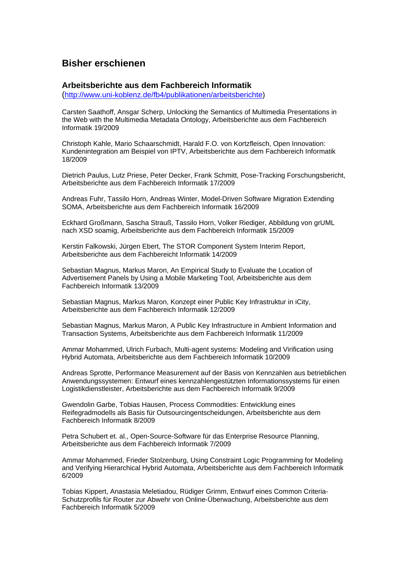## **Bisher erschienen**

### **Arbeitsberichte aus dem Fachbereich Informatik**

(<http://www.uni-koblenz.de/fb4/publikationen/arbeitsberichte>)

Carsten Saathoff, Ansgar Scherp, Unlocking the Semantics of Multimedia Presentations in the Web with the Multimedia Metadata Ontology, Arbeitsberichte aus dem Fachbereich Informatik 19/2009

Christoph Kahle, Mario Schaarschmidt, Harald F.O. von Kortzfleisch, Open Innovation: Kundenintegration am Beispiel von IPTV, Arbeitsberichte aus dem Fachbereich Informatik 18/2009

Dietrich Paulus, Lutz Priese, Peter Decker, Frank Schmitt, Pose-Tracking Forschungsbericht, Arbeitsberichte aus dem Fachbereich Informatik 17/2009

Andreas Fuhr, Tassilo Horn, Andreas Winter, Model-Driven Software Migration Extending SOMA, Arbeitsberichte aus dem Fachbereich Informatik 16/2009

Eckhard Großmann, Sascha Strauß, Tassilo Horn, Volker Riediger, Abbildung von grUML nach XSD soamig, Arbeitsberichte aus dem Fachbereich Informatik 15/2009

Kerstin Falkowski, Jürgen Ebert, The STOR Component System Interim Report, Arbeitsberichte aus dem Fachbereicht Informatik 14/2009

Sebastian Magnus, Markus Maron, An Empirical Study to Evaluate the Location of Advertisement Panels by Using a Mobile Marketing Tool, Arbeitsberichte aus dem Fachbereich Informatik 13/2009

Sebastian Magnus, Markus Maron, Konzept einer Public Key Infrastruktur in iCity, Arbeitsberichte aus dem Fachbereich Informatik 12/2009

Sebastian Magnus, Markus Maron, A Public Key Infrastructure in Ambient Information and Transaction Systems, Arbeitsberichte aus dem Fachbereich Informatik 11/2009

Ammar Mohammed, Ulrich Furbach, Multi-agent systems: Modeling and Virification using Hybrid Automata, Arbeitsberichte aus dem Fachbereich Informatik 10/2009

Andreas Sprotte, Performance Measurement auf der Basis von Kennzahlen aus betrieblichen Anwendungssystemen: Entwurf eines kennzahlengestützten Informationssystems für einen Logistikdienstleister, Arbeitsberichte aus dem Fachbereich Informatik 9/2009

Gwendolin Garbe, Tobias Hausen, Process Commodities: Entwicklung eines Reifegradmodells als Basis für Outsourcingentscheidungen, Arbeitsberichte aus dem Fachbereich Informatik 8/2009

Petra Schubert et. al., Open-Source-Software für das Enterprise Resource Planning, Arbeitsberichte aus dem Fachbereich Informatik 7/2009

Ammar Mohammed, Frieder Stolzenburg, Using Constraint Logic Programming for Modeling and Verifying Hierarchical Hybrid Automata, Arbeitsberichte aus dem Fachbereich Informatik 6/2009

Tobias Kippert, Anastasia Meletiadou, Rüdiger Grimm, Entwurf eines Common Criteria-Schutzprofils für Router zur Abwehr von Online-Überwachung, Arbeitsberichte aus dem Fachbereich Informatik 5/2009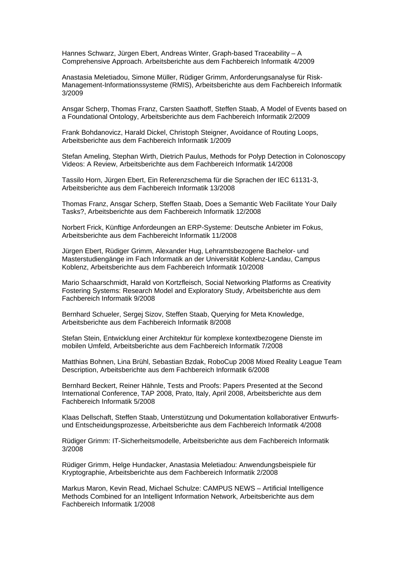Hannes Schwarz, Jürgen Ebert, Andreas Winter, Graph-based Traceability – A Comprehensive Approach. Arbeitsberichte aus dem Fachbereich Informatik 4/2009

Anastasia Meletiadou, Simone Müller, Rüdiger Grimm, Anforderungsanalyse für Risk-Management-Informationssysteme (RMIS), Arbeitsberichte aus dem Fachbereich Informatik 3/2009

Ansgar Scherp, Thomas Franz, Carsten Saathoff, Steffen Staab, A Model of Events based on a Foundational Ontology, Arbeitsberichte aus dem Fachbereich Informatik 2/2009

Frank Bohdanovicz, Harald Dickel, Christoph Steigner, Avoidance of Routing Loops, Arbeitsberichte aus dem Fachbereich Informatik 1/2009

Stefan Ameling, Stephan Wirth, Dietrich Paulus, Methods for Polyp Detection in Colonoscopy Videos: A Review, Arbeitsberichte aus dem Fachbereich Informatik 14/2008

Tassilo Horn, Jürgen Ebert, Ein Referenzschema für die Sprachen der IEC 61131-3, Arbeitsberichte aus dem Fachbereich Informatik 13/2008

Thomas Franz, Ansgar Scherp, Steffen Staab, Does a Semantic Web Facilitate Your Daily Tasks?, Arbeitsberichte aus dem Fachbereich Informatik 12/2008

Norbert Frick, Künftige Anfordeungen an ERP-Systeme: Deutsche Anbieter im Fokus, Arbeitsberichte aus dem Fachbereicht Informatik 11/2008

Jürgen Ebert, Rüdiger Grimm, Alexander Hug, Lehramtsbezogene Bachelor- und Masterstudiengänge im Fach Informatik an der Universität Koblenz-Landau, Campus Koblenz, Arbeitsberichte aus dem Fachbereich Informatik 10/2008

Mario Schaarschmidt, Harald von Kortzfleisch, Social Networking Platforms as Creativity Fostering Systems: Research Model and Exploratory Study, Arbeitsberichte aus dem Fachbereich Informatik 9/2008

Bernhard Schueler, Sergej Sizov, Steffen Staab, Querying for Meta Knowledge, Arbeitsberichte aus dem Fachbereich Informatik 8/2008

Stefan Stein, Entwicklung einer Architektur für komplexe kontextbezogene Dienste im mobilen Umfeld, Arbeitsberichte aus dem Fachbereich Informatik 7/2008

Matthias Bohnen, Lina Brühl, Sebastian Bzdak, RoboCup 2008 Mixed Reality League Team Description, Arbeitsberichte aus dem Fachbereich Informatik 6/2008

Bernhard Beckert, Reiner Hähnle, Tests and Proofs: Papers Presented at the Second International Conference, TAP 2008, Prato, Italy, April 2008, Arbeitsberichte aus dem Fachbereich Informatik 5/2008

Klaas Dellschaft, Steffen Staab, Unterstützung und Dokumentation kollaborativer Entwurfsund Entscheidungsprozesse, Arbeitsberichte aus dem Fachbereich Informatik 4/2008

Rüdiger Grimm: IT-Sicherheitsmodelle, Arbeitsberichte aus dem Fachbereich Informatik 3/2008

Rüdiger Grimm, Helge Hundacker, Anastasia Meletiadou: Anwendungsbeispiele für Kryptographie, Arbeitsberichte aus dem Fachbereich Informatik 2/2008

Markus Maron, Kevin Read, Michael Schulze: CAMPUS NEWS – Artificial Intelligence Methods Combined for an Intelligent Information Network, Arbeitsberichte aus dem Fachbereich Informatik 1/2008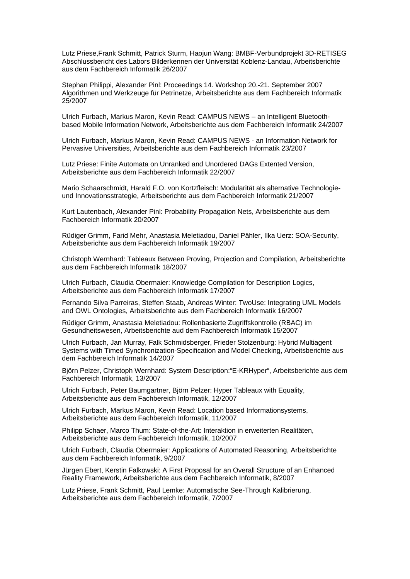Lutz Priese,Frank Schmitt, Patrick Sturm, Haojun Wang: BMBF-Verbundprojekt 3D-RETISEG Abschlussbericht des Labors Bilderkennen der Universität Koblenz-Landau, Arbeitsberichte aus dem Fachbereich Informatik 26/2007

Stephan Philippi, Alexander Pinl: Proceedings 14. Workshop 20.-21. September 2007 Algorithmen und Werkzeuge für Petrinetze, Arbeitsberichte aus dem Fachbereich Informatik 25/2007

Ulrich Furbach, Markus Maron, Kevin Read: CAMPUS NEWS – an Intelligent Bluetoothbased Mobile Information Network, Arbeitsberichte aus dem Fachbereich Informatik 24/2007

Ulrich Furbach, Markus Maron, Kevin Read: CAMPUS NEWS - an Information Network for Pervasive Universities, Arbeitsberichte aus dem Fachbereich Informatik 23/2007

Lutz Priese: Finite Automata on Unranked and Unordered DAGs Extented Version, Arbeitsberichte aus dem Fachbereich Informatik 22/2007

Mario Schaarschmidt, Harald F.O. von Kortzfleisch: Modularität als alternative Technologieund Innovationsstrategie, Arbeitsberichte aus dem Fachbereich Informatik 21/2007

Kurt Lautenbach, Alexander Pinl: Probability Propagation Nets, Arbeitsberichte aus dem Fachbereich Informatik 20/2007

Rüdiger Grimm, Farid Mehr, Anastasia Meletiadou, Daniel Pähler, Ilka Uerz: SOA-Security, Arbeitsberichte aus dem Fachbereich Informatik 19/2007

Christoph Wernhard: Tableaux Between Proving, Projection and Compilation, Arbeitsberichte aus dem Fachbereich Informatik 18/2007

Ulrich Furbach, Claudia Obermaier: Knowledge Compilation for Description Logics, Arbeitsberichte aus dem Fachbereich Informatik 17/2007

Fernando Silva Parreiras, Steffen Staab, Andreas Winter: TwoUse: Integrating UML Models and OWL Ontologies, Arbeitsberichte aus dem Fachbereich Informatik 16/2007

Rüdiger Grimm, Anastasia Meletiadou: Rollenbasierte Zugriffskontrolle (RBAC) im Gesundheitswesen, Arbeitsberichte aud dem Fachbereich Informatik 15/2007

Ulrich Furbach, Jan Murray, Falk Schmidsberger, Frieder Stolzenburg: Hybrid Multiagent Systems with Timed Synchronization-Specification and Model Checking, Arbeitsberichte aus dem Fachbereich Informatik 14/2007

Björn Pelzer, Christoph Wernhard: System Description:"E-KRHyper", Arbeitsberichte aus dem Fachbereich Informatik, 13/2007

Ulrich Furbach, Peter Baumgartner, Björn Pelzer: Hyper Tableaux with Equality, Arbeitsberichte aus dem Fachbereich Informatik, 12/2007

Ulrich Furbach, Markus Maron, Kevin Read: Location based Informationsystems, Arbeitsberichte aus dem Fachbereich Informatik, 11/2007

Philipp Schaer, Marco Thum: State-of-the-Art: Interaktion in erweiterten Realitäten, Arbeitsberichte aus dem Fachbereich Informatik, 10/2007

Ulrich Furbach, Claudia Obermaier: Applications of Automated Reasoning, Arbeitsberichte aus dem Fachbereich Informatik, 9/2007

Jürgen Ebert, Kerstin Falkowski: A First Proposal for an Overall Structure of an Enhanced Reality Framework, Arbeitsberichte aus dem Fachbereich Informatik, 8/2007

Lutz Priese, Frank Schmitt, Paul Lemke: Automatische See-Through Kalibrierung, Arbeitsberichte aus dem Fachbereich Informatik, 7/2007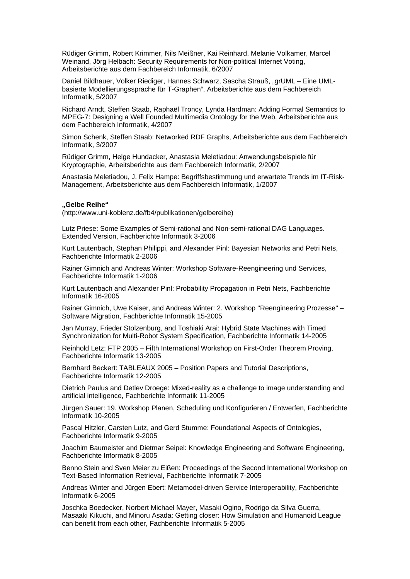Rüdiger Grimm, Robert Krimmer, Nils Meißner, Kai Reinhard, Melanie Volkamer, Marcel Weinand, Jörg Helbach: Security Requirements for Non-political Internet Voting, Arbeitsberichte aus dem Fachbereich Informatik, 6/2007

Daniel Bildhauer, Volker Riediger, Hannes Schwarz, Sascha Strauß, "grUML – Eine UMLbasierte Modellierungssprache für T-Graphen", Arbeitsberichte aus dem Fachbereich Informatik, 5/2007

Richard Arndt, Steffen Staab, Raphaël Troncy, Lynda Hardman: Adding Formal Semantics to MPEG-7: Designing a Well Founded Multimedia Ontology for the Web, Arbeitsberichte aus dem Fachbereich Informatik, 4/2007

Simon Schenk, Steffen Staab: Networked RDF Graphs, Arbeitsberichte aus dem Fachbereich Informatik, 3/2007

Rüdiger Grimm, Helge Hundacker, Anastasia Meletiadou: Anwendungsbeispiele für Kryptographie, Arbeitsberichte aus dem Fachbereich Informatik, 2/2007

Anastasia Meletiadou, J. Felix Hampe: Begriffsbestimmung und erwartete Trends im IT-Risk-Management, Arbeitsberichte aus dem Fachbereich Informatik, 1/2007

#### **"Gelbe Reihe"**

(http://www.uni-koblenz.de/fb4/publikationen/gelbereihe)

Lutz Priese: Some Examples of Semi-rational and Non-semi-rational DAG Languages. Extended Version, Fachberichte Informatik 3-2006

Kurt Lautenbach, Stephan Philippi, and Alexander Pinl: Bayesian Networks and Petri Nets, Fachberichte Informatik 2-2006

Rainer Gimnich and Andreas Winter: Workshop Software-Reengineering und Services, Fachberichte Informatik 1-2006

[Kurt Lautenbach](http://www.uni-koblenz.de/%7Eag-pn/html/mitarbeiter/mitarbeiter.html) and [Alexander Pinl](http://www.uni-koblenz.de/%7Eag-pn/html/mitarbeiter/apinl.html): Probability Propagation in Petri Nets, Fachberichte Informatik 16-2005

Rainer Gimnich, Uwe Kaiser, and [Andreas Winter:](http://www.uni-koblenz.de/%7Ewinter/) 2. Workshop ''Reengineering Prozesse'' – Software Migration, Fachberichte Informatik 15-2005

[Jan Murray](http://www.uni-koblenz.de/%7Emurray/), [Frieder Stolzenburg](http://fstolzenburg.hs-harz.de/), and Toshiaki Arai: Hybrid State Machines with Timed Synchronization for Multi-Robot System Specification, Fachberichte Informatik 14-2005

Reinhold Letz: FTP 2005 – Fifth International Workshop on First-Order Theorem Proving, Fachberichte Informatik 13-2005

[Bernhard Beckert:](http://www.uni-koblenz.de/%7Ebeckert/) TABLEAUX 2005 – Position Papers and Tutorial Descriptions, Fachberichte Informatik 12-2005

[Dietrich Paulus](http://www.uni-koblenz.de/FB4/Institutes/ICV/AGPaulus/Members/paulus) and [Detlev Droege](http://www.uni-koblenz.de/%7Edroege/): Mixed-reality as a challenge to image understanding and artificial intelligence, Fachberichte Informatik 11-2005

Jürgen Sauer: 19. Workshop Planen, Scheduling und Konfigurieren / Entwerfen, Fachberichte Informatik 10-2005

Pascal Hitzler, Carsten Lutz, and Gerd Stumme: Foundational Aspects of Ontologies, Fachberichte Informatik 9-2005

Joachim Baumeister and Dietmar Seipel: Knowledge Engineering and Software Engineering, Fachberichte Informatik 8-2005

Benno Stein and Sven Meier zu Eißen: Proceedings of the Second International Workshop on Text-Based Information Retrieval, Fachberichte Informatik 7-2005

[Andreas Winter](http://www.uni-koblenz.de/%7Ewinter/) and [Jürgen Ebert](http://www.uni-koblenz.de/%7Eebert/): Metamodel-driven Service Interoperability, Fachberichte Informatik 6-2005

[Joschka Boedecker](http://www.uni-koblenz.de/%7Ejboedeck/), Norbert Michael Mayer, Masaki Ogino, Rodrigo da Silva Guerra, Masaaki Kikuchi, and [Minoru Asada:](http://www.er.ams.eng.osaka-u.ac.jp/user/asada/asada.html) Getting closer: How Simulation and Humanoid League can benefit from each other, Fachberichte Informatik 5-2005